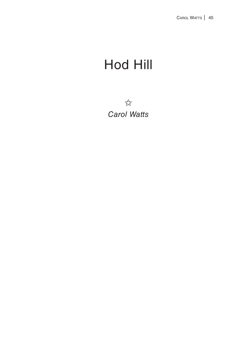## Hod Hill

 $7/7$ *Carol Watts*